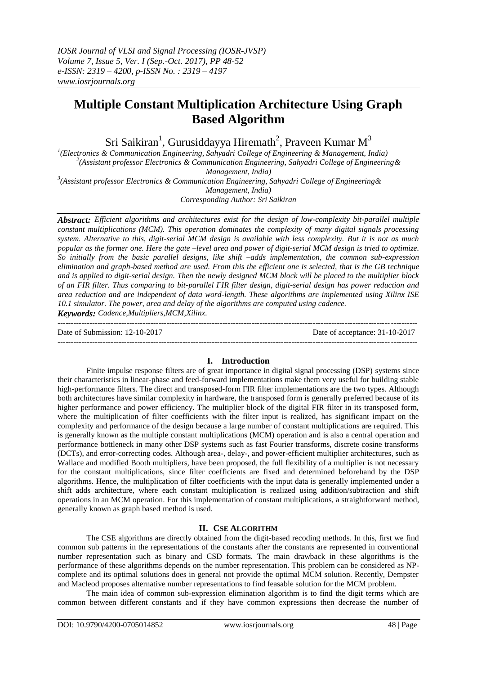# **Multiple Constant Multiplication Architecture Using Graph Based Algorithm**

Sri Saikiran $^1$ , Gurusiddayya Hiremath $^2$ , Praveen Kumar M $^3$ 

 *(Electronics & Communication Engineering, Sahyadri College of Engineering & Management, India) (Assistant professor Electronics & Communication Engineering, Sahyadri College of Engineering& Management, India) (Assistant professor Electronics & Communication Engineering, Sahyadri College of Engineering&*

*Management, India)*

*Corresponding Author: Sri Saikiran*

*Abstract: Efficient algorithms and architectures exist for the design of low-complexity bit-parallel multiple constant multiplications (MCM). This operation dominates the complexity of many digital signals processing system. Alternative to this, digit-serial MCM design is available with less complexity. But it is not as much popular as the former one. Here the gate –level area and power of digit-serial MCM design is tried to optimize. So initially from the basic parallel designs, like shift –adds implementation, the common sub-expression elimination and graph-based method are used. From this the efficient one is selected, that is the GB technique and is applied to digit-serial design. Then the newly designed MCM block will be placed to the multiplier block of an FIR filter. Thus comparing to bit-parallel FIR filter design, digit-serial design has power reduction and area reduction and are independent of data word-length. These algorithms are implemented using Xilinx ISE 10.1 simulator. The power, area and delay of the algorithms are computed using cadence. Keywords: Cadence,Multipliers,MCM,Xilinx.*

--------------------------------------------------------------------------------------------------------------------------------------- Date of Submission: 12-10-2017 Date of acceptance: 31-10-2017

---------------------------------------------------------------------------------------------------------------------------------------

# **I. Introduction**

Finite impulse response filters are of great importance in digital signal processing (DSP) systems since their characteristics in linear-phase and feed-forward implementations make them very useful for building stable high-performance filters. The direct and transposed-form FIR filter implementations are the two types. Although both architectures have similar complexity in hardware, the transposed form is generally preferred because of its higher performance and power efficiency. The multiplier block of the digital FIR filter in its transposed form, where the multiplication of filter coefficients with the filter input is realized, has significant impact on the complexity and performance of the design because a large number of constant multiplications are required. This is generally known as the multiple constant multiplications (MCM) operation and is also a central operation and performance bottleneck in many other DSP systems such as fast Fourier transforms, discrete cosine transforms (DCTs), and error-correcting codes. Although area-, delay-, and power-efficient multiplier architectures, such as Wallace and modified Booth multipliers, have been proposed, the full flexibility of a multiplier is not necessary for the constant multiplications, since filter coefficients are fixed and determined beforehand by the DSP algorithms. Hence, the multiplication of filter coefficients with the input data is generally implemented under a shift adds architecture, where each constant multiplication is realized using addition/subtraction and shift operations in an MCM operation. For this implementation of constant multiplications, a straightforward method, generally known as graph based method is used.

# **II. CSE ALGORITHM**

The CSE algorithms are directly obtained from the digit-based recoding methods. In this, first we find common sub patterns in the representations of the constants after the constants are represented in conventional number representation such as binary and CSD formats. The main drawback in these algorithms is the performance of these algorithms depends on the number representation. This problem can be considered as NPcomplete and its optimal solutions does in general not provide the optimal MCM solution. Recently, Dempster and Macleod proposes alternative number representations to find feasable solution for the MCM problem.

The main idea of common sub-expression elimination algorithm is to find the digit terms which are common between different constants and if they have common expressions then decrease the number of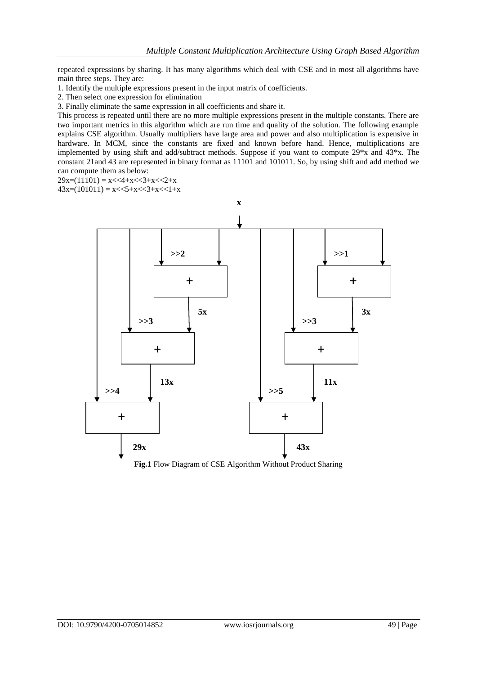repeated expressions by sharing. It has many algorithms which deal with CSE and in most all algorithms have main three steps. They are:

1. Identify the multiple expressions present in the input matrix of coefficients.

2. Then select one expression for elimination

3. Finally eliminate the same expression in all coefficients and share it.

This process is repeated until there are no more multiple expressions present in the multiple constants. There are two important metrics in this algorithm which are run time and quality of the solution. The following example explains CSE algorithm. Usually multipliers have large area and power and also multiplication is expensive in hardware. In MCM, since the constants are fixed and known before hand. Hence, multiplications are implemented by using shift and add/subtract methods. Suppose if you want to compute 29\*x and 43\*x. The constant 21and 43 are represented in binary format as 11101 and 101011. So, by using shift and add method we can compute them as below:

 $29x=(11101) = x \leq 4+x \leq 3+x \leq 2+x$ 

 $43x=(101011) = x \leq 5+x \leq 3+x \leq 1+x$ 



**Fig.1** Flow Diagram of CSE Algorithm Without Product Sharing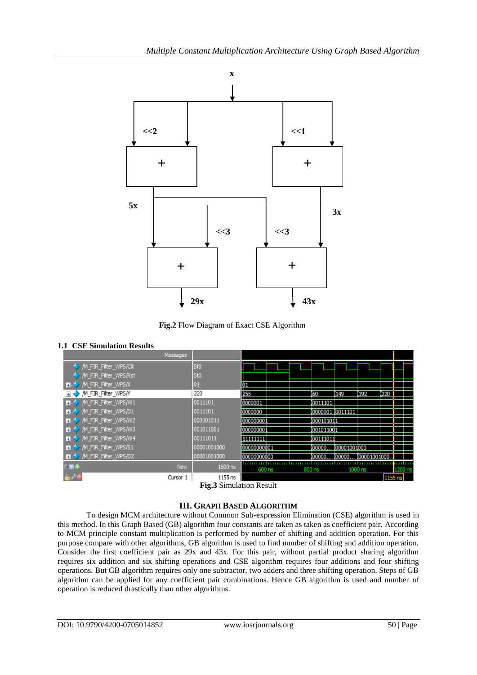

**Fig.2** Flow Diagram of Exact CSE Algorithm

# **1.1 CSE Simulation Results**

| <b>Messages</b>             |                                                      |                                |                 |                     |                            |      |         |  |
|-----------------------------|------------------------------------------------------|--------------------------------|-----------------|---------------------|----------------------------|------|---------|--|
| /M_FIR_Filter_WPS/Clk       | St <sub>0</sub>                                      |                                |                 |                     |                            |      |         |  |
| /M_FIR_Filter_WPS/Rst       | St <sub>0</sub>                                      |                                |                 |                     |                            |      |         |  |
| M_FIR_Filter_WPS/X<br>п.    | 01                                                   | 01                             |                 |                     |                            |      |         |  |
| /M_FIR_Filter_WPS/Y         | 220                                                  | 255                            | 160             | 149                 | 1192                       | 220  |         |  |
| /M_FIR_Filter_WPS/W1        | 0011101                                              | 0000001                        | 0011101         |                     |                            |      |         |  |
| M_FIR_Filter_WPS/D1<br>Ŧ.   | 0011101                                              | 0000000                        | 0000001 0011101 |                     |                            |      |         |  |
| /M_FIR_Filter_WPS/W2<br>Ŧ.  | 000101011                                            | 000000001                      | 000101011       |                     |                            |      |         |  |
| /M_FIR_Filter_WPS/W3<br>Ŧ.  | 001011001                                            | 000000001                      | 001011001       |                     |                            |      |         |  |
| /M_FIR_Filter_WPS/W4<br>$+$ | 00111011                                             | 11111111                       | 00111011        |                     |                            |      |         |  |
| M_FIR_Filter_WPS/S1<br>Ŧ.   | 00001001000                                          | 00000000001                    |                 | 000000 100001001000 |                            |      |         |  |
| /M FIR Filter WPS/D2        | 00001001000                                          | 00000000000                    |                 |                     | 000000 100000 100001001000 |      |         |  |
| $-100$<br><b>Now</b>        | 1500 ns                                              | 600 ns                         | 800 ns          |                     | 1000 ns                    |      | 1200 ns |  |
| Cursor 1                    | 1155 ns<br>$\blacksquare$<br>$\sim$<br>$\sim$ $\sim$ | $\mathbf{r}$<br>$\blacksquare$ |                 |                     |                            | 1155 |         |  |

**Fig.3** Simulation Result

# **III. GRAPH BASED ALGORITHM**

To design MCM architecture without Common Sub-expression Elimination (CSE) algorithm is used in this method. In this Graph Based (GB) algorithm four constants are taken as taken as coefficient pair. According to MCM principle constant multiplication is performed by number of shifting and addition operation. For this purpose compare with other algorithms, GB algorithm is used to find number of shifting and addition operation. Consider the first coefficient pair as 29x and 43x. For this pair, without partial product sharing algorithm requires six addition and six shifting operations and CSE algorithm requires four additions and four shifting operations. But GB algorithm requires only one subtractor, two adders and three shifting operation. Steps of GB algorithm can be applied for any coefficient pair combinations. Hence GB algorithm is used and number of operation is reduced drastically than other algorithms.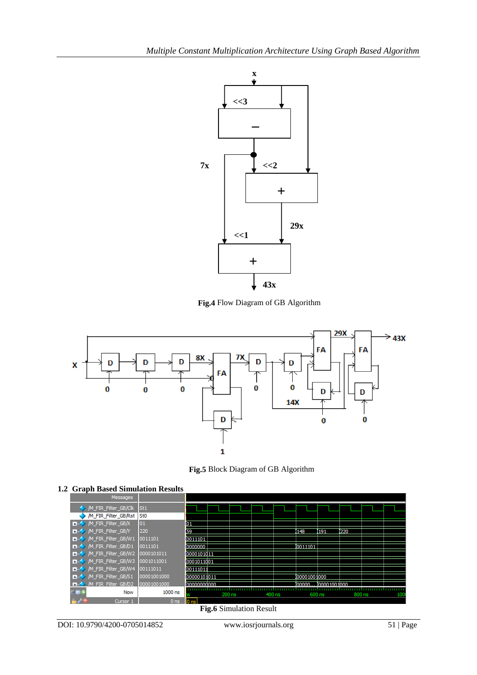

**Fig.4** Flow Diagram of GB Algorithm



**Fig.5** Block Diagram of GB Algorithm

| Messages                          |                 |              |        |  |        |  |             |               |        |     |
|-----------------------------------|-----------------|--------------|--------|--|--------|--|-------------|---------------|--------|-----|
| /M_FIR_Filter_GB/Clk              | St <sub>1</sub> |              |        |  |        |  |             |               |        |     |
| M_FIR_Filter_GB/Rst               | St <sub>0</sub> |              |        |  |        |  |             |               |        |     |
| /M_FIR_Filter_GB/X<br>E.          | 01              | Ю1           |        |  |        |  |             |               |        |     |
| /M_FIR_Filter_GB/Y<br>Ð           | 220             | 59           |        |  |        |  | ľ148        | 191           | 220    |     |
| /M_FIR_Filter_GB/W1<br>Ŧ          | 0011101         | 0011101      |        |  |        |  |             |               |        |     |
| /M_FIR_Filter_GB/D1<br>$+$        | 0011101         | 0000000      |        |  |        |  | 0011101     |               |        |     |
| /M_FIR_Filter_GB/W2<br>H.         | 0000101011      | 0000101011   |        |  |        |  |             |               |        |     |
| /M_FIR_Filter_GB/W3<br>Ð          | 0001011001      | 0001011001   |        |  |        |  |             |               |        |     |
| /M_FIR_Filter_GB/W4<br>Ð          | 00111011        | 00111011     |        |  |        |  |             |               |        |     |
| /M_FIR_Filter_GB/S1<br>H          | 00001001000     | 00000101011  |        |  |        |  | 00001001000 |               |        |     |
| M FIR Filter GB/D2<br><b>REAL</b> | 00001001000     | 100000000000 |        |  |        |  | looooo.     | 0000 000 1000 |        |     |
| $-50$<br><b>Now</b>               | 1000 ns         |              | 200 ns |  | 400 ns |  | 600 ns      |               | 800 ns | 100 |
| Cursor 1                          | 0 <sub>ns</sub> | IN ne        |        |  |        |  |             |               |        |     |
| <b>Fig.6</b> Simulation Result    |                 |              |        |  |        |  |             |               |        |     |

## **1.2 Graph Based Simulation Results**

DOI: 10.9790/4200-0705014852 www.iosrjournals.org 51 | Page